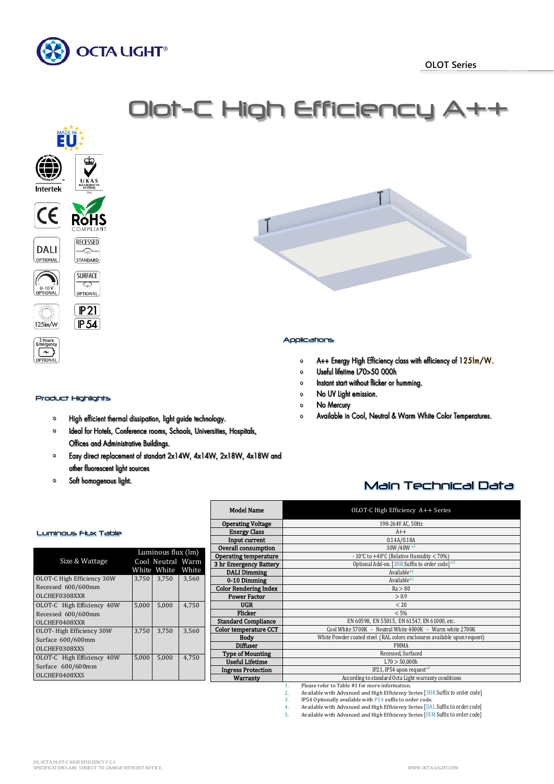



### Product Highlights

- $\circ$ High efficient thermal dissipation, light guide technology.
- Ideal for Hotels, Conference rooms, Schools, Universities, Hospitals,  $\circ$ Offices and Administrative Buildings.
- Easy direct replacement of standart 2x14W, 4x14W, 2x18W, 4x18W and  $\circ$ other fluorescent light sources

White<br>3.750

 $\bullet$ Soft homogenous light.

Size & Wattage

Luminous Flux Table

OLOT-C High Efficiency 30W Recessed 600/600mm OLCHEF0308XXR

OLOT-C High Efficiency 40W Recessed 600/600mm OLCHEF0408XXR

- A++ Energy High Efficiency class with efficiency of 125Im/W.  $\circ$
- Useful lifetime L70>50 000h  $\circ$
- Instant start without flicker or humming.  $\circ$
- No UV Light emission.  $\circ$
- No Mercury  $\circ$
- Available in Cool, Neutral & Warm White Color Temperatures.  $\Omega$

# Main Technical Data

|                    |       |                                                                  | <b>Model Name</b>            | OLOT-C High Efficiency A++ Series                                        |  |  |  |
|--------------------|-------|------------------------------------------------------------------|------------------------------|--------------------------------------------------------------------------|--|--|--|
|                    |       |                                                                  | <b>Operating Voltage</b>     | 198-264V AC, 50Hz                                                        |  |  |  |
|                    |       |                                                                  | <b>Energy Class</b>          | $A++$                                                                    |  |  |  |
|                    |       |                                                                  | Input current                | 0.14A/0.18A                                                              |  |  |  |
|                    |       |                                                                  | Overall consumption          | 30W/40W*1                                                                |  |  |  |
| Luminous flux (lm) |       |                                                                  | Operating temperature        | - 10°C to +40°C (Relative Humidity $<$ 70%)                              |  |  |  |
| Cool Neutral Warm  |       |                                                                  | 3 hr Emergency Battery       | Optional Add-on. [3HR Suffix to order code] *2                           |  |  |  |
|                    |       | White White<br>White<br><b>DALI Dimming</b>                      |                              | Available*4                                                              |  |  |  |
| 3,750              | 3,750 | 3,560                                                            | 0-10 Dimming                 | Available*5                                                              |  |  |  |
|                    |       |                                                                  | <b>Color Rendering Index</b> | Ra > 80                                                                  |  |  |  |
|                    |       |                                                                  | <b>Power Factor</b>          | > 0.9                                                                    |  |  |  |
| 5,000              | 5,000 | 4,750                                                            | <b>UGR</b><br>< 20           |                                                                          |  |  |  |
|                    |       |                                                                  | <b>Flicker</b>               | < 5%                                                                     |  |  |  |
|                    |       |                                                                  | <b>Standard Compliance</b>   | EN 60598, EN 55015, EN 61547, EN 61000, etc.                             |  |  |  |
| 3,750              | 3,750 | 3,560                                                            | <b>Color temperature CCT</b> | Cool White 5700K - Neutral White 4000K - Warm white 2700K                |  |  |  |
|                    |       |                                                                  | <b>Body</b>                  | White Powder coated steel (RAL colors enclosures available upon request) |  |  |  |
|                    |       |                                                                  | <b>Diffuser</b>              | <b>PMMA</b>                                                              |  |  |  |
| 5,000              |       |                                                                  | Recessed, Surfaced           |                                                                          |  |  |  |
|                    | 5,000 | 4,750                                                            | <b>Useful Lifetime</b>       | L70 > 50,000h                                                            |  |  |  |
|                    |       |                                                                  | <b>Ingress Protection</b>    | IP21, IP54 upon request <sup><math>*3</math></sup>                       |  |  |  |
|                    |       | According to standard Octa Light warranty conditions<br>Warranty |                              |                                                                          |  |  |  |

1. Please refer to Table #1 for more information.<br>2. Available with Advanced and High Efficiency S

- 2. Available with Advanced and High Efficiency Series [3HR Suffix to order code]<br>3. IP54 Optionally available with P54 suffix to order code.
- 3. IP54 Optionally available with P54 suffix to order code.

4. Available with Advanced and High Efficiency Series [DAL Suffix to order code]<br>5. Available with Advanced and High Efficiency Series [DIM Suffix to order code]

Available with Advanced and High Efficiency Series [DIM Suffix to order code]

OLCHEF0408XXS

OLOT- High Efficiency 30W Surface 600/600mm OLCHEF0308XXS